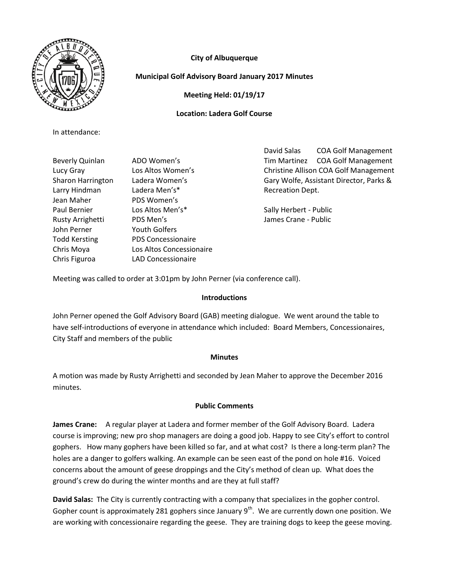

# **City of Albuquerque**

## **Municipal Golf Advisory Board January 2017 Minutes**

**Meeting Held: 01/19/17**

## **Location: Ladera Golf Course**

In attendance:

Larry Hindman Ladera Men's\* The Controller Recreation Dept. Jean Maher PDS Women's Paul Bernier **Los Altos Men's\*** Sally Herbert - Public Rusty Arrighetti PDS Men's Providence and Marine Scrane - Public John Perner Youth Golfers Todd Kersting PDS Concessionaire Chris Moya Los Altos Concessionaire Chris Figuroa LAD Concessionaire

David Salas COA Golf Management Beverly Quinlan ADO Women's Tim Martinez COA Golf Management Lucy Gray Los Altos Women's Christine Allison COA Golf Management Sharon Harrington Ladera Women's Gary Wolfe, Assistant Director, Parks &

Meeting was called to order at 3:01pm by John Perner (via conference call).

### **Introductions**

John Perner opened the Golf Advisory Board (GAB) meeting dialogue. We went around the table to have self-introductions of everyone in attendance which included: Board Members, Concessionaires, City Staff and members of the public

### **Minutes**

A motion was made by Rusty Arrighetti and seconded by Jean Maher to approve the December 2016 minutes.

## **Public Comments**

**James Crane:** A regular player at Ladera and former member of the Golf Advisory Board. Ladera course is improving; new pro shop managers are doing a good job. Happy to see City's effort to control gophers. How many gophers have been killed so far, and at what cost? Is there a long-term plan? The holes are a danger to golfers walking. An example can be seen east of the pond on hole #16. Voiced concerns about the amount of geese droppings and the City's method of clean up. What does the ground's crew do during the winter months and are they at full staff?

**David Salas:** The City is currently contracting with a company that specializes in the gopher control. Gopher count is approximately 281 gophers since January  $9<sup>th</sup>$ . We are currently down one position. We are working with concessionaire regarding the geese. They are training dogs to keep the geese moving.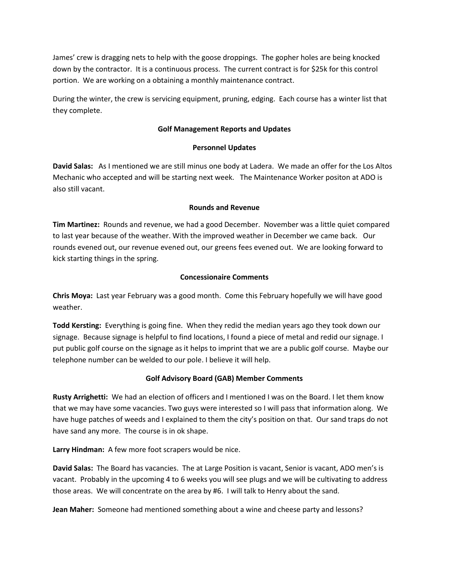James' crew is dragging nets to help with the goose droppings. The gopher holes are being knocked down by the contractor. It is a continuous process. The current contract is for \$25k for this control portion. We are working on a obtaining a monthly maintenance contract.

During the winter, the crew is servicing equipment, pruning, edging. Each course has a winter list that they complete.

## **Golf Management Reports and Updates**

### **Personnel Updates**

**David Salas:** As I mentioned we are still minus one body at Ladera. We made an offer for the Los Altos Mechanic who accepted and will be starting next week. The Maintenance Worker positon at ADO is also still vacant.

### **Rounds and Revenue**

**Tim Martinez:** Rounds and revenue, we had a good December. November was a little quiet compared to last year because of the weather. With the improved weather in December we came back. Our rounds evened out, our revenue evened out, our greens fees evened out. We are looking forward to kick starting things in the spring.

### **Concessionaire Comments**

**Chris Moya:** Last year February was a good month. Come this February hopefully we will have good weather.

**Todd Kersting:** Everything is going fine. When they redid the median years ago they took down our signage. Because signage is helpful to find locations, I found a piece of metal and redid our signage. I put public golf course on the signage as it helps to imprint that we are a public golf course. Maybe our telephone number can be welded to our pole. I believe it will help.

## **Golf Advisory Board (GAB) Member Comments**

**Rusty Arrighetti:** We had an election of officers and I mentioned I was on the Board. I let them know that we may have some vacancies. Two guys were interested so I will pass that information along. We have huge patches of weeds and I explained to them the city's position on that. Our sand traps do not have sand any more. The course is in ok shape.

**Larry Hindman:** A few more foot scrapers would be nice.

**David Salas:** The Board has vacancies. The at Large Position is vacant, Senior is vacant, ADO men's is vacant. Probably in the upcoming 4 to 6 weeks you will see plugs and we will be cultivating to address those areas. We will concentrate on the area by #6. I will talk to Henry about the sand.

**Jean Maher:** Someone had mentioned something about a wine and cheese party and lessons?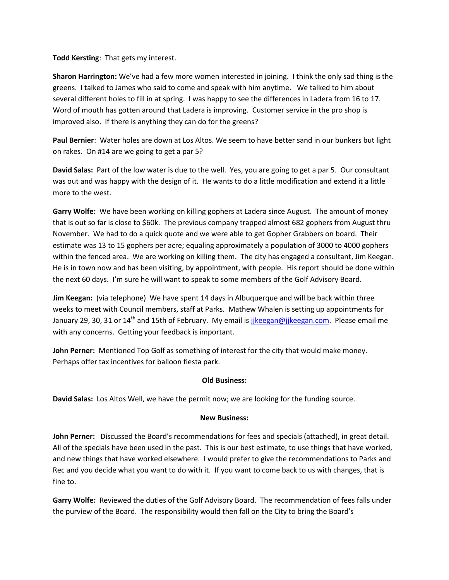**Todd Kersting**: That gets my interest.

**Sharon Harrington:** We've had a few more women interested in joining. I think the only sad thing is the greens. I talked to James who said to come and speak with him anytime. We talked to him about several different holes to fill in at spring. I was happy to see the differences in Ladera from 16 to 17. Word of mouth has gotten around that Ladera is improving. Customer service in the pro shop is improved also. If there is anything they can do for the greens?

**Paul Bernier**: Water holes are down at Los Altos. We seem to have better sand in our bunkers but light on rakes. On #14 are we going to get a par 5?

**David Salas:** Part of the low water is due to the well. Yes, you are going to get a par 5. Our consultant was out and was happy with the design of it. He wants to do a little modification and extend it a little more to the west.

**Garry Wolfe:** We have been working on killing gophers at Ladera since August. The amount of money that is out so far is close to \$60k. The previous company trapped almost 682 gophers from August thru November. We had to do a quick quote and we were able to get Gopher Grabbers on board. Their estimate was 13 to 15 gophers per acre; equaling approximately a population of 3000 to 4000 gophers within the fenced area. We are working on killing them. The city has engaged a consultant, Jim Keegan. He is in town now and has been visiting, by appointment, with people. His report should be done within the next 60 days. I'm sure he will want to speak to some members of the Golf Advisory Board.

**Jim Keegan:** (via telephone) We have spent 14 days in Albuquerque and will be back within three weeks to meet with Council members, staff at Parks. Mathew Whalen is setting up appointments for January 29, 30, 31 or 14<sup>th</sup> and 15th of February. My email is jikeegan@jjkeegan.com. Please email me with any concerns. Getting your feedback is important.

**John Perner:** Mentioned Top Golf as something of interest for the city that would make money. Perhaps offer tax incentives for balloon fiesta park.

### **Old Business:**

**David Salas:** Los Altos Well, we have the permit now; we are looking for the funding source.

### **New Business:**

**John Perner:** Discussed the Board's recommendations for fees and specials (attached), in great detail. All of the specials have been used in the past. This is our best estimate, to use things that have worked, and new things that have worked elsewhere. I would prefer to give the recommendations to Parks and Rec and you decide what you want to do with it. If you want to come back to us with changes, that is fine to.

**Garry Wolfe:** Reviewed the duties of the Golf Advisory Board. The recommendation of fees falls under the purview of the Board. The responsibility would then fall on the City to bring the Board's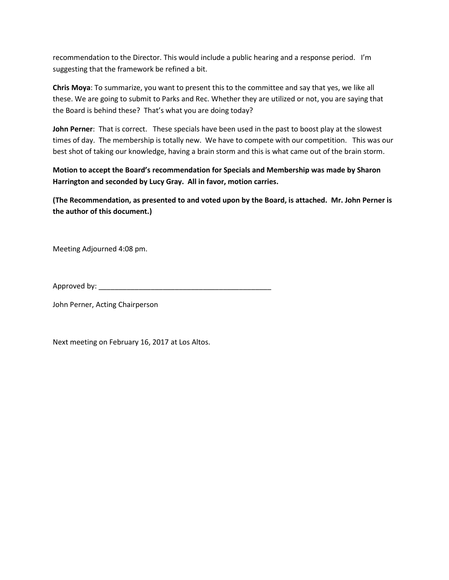recommendation to the Director. This would include a public hearing and a response period. I'm suggesting that the framework be refined a bit.

**Chris Moya**: To summarize, you want to present this to the committee and say that yes, we like all these. We are going to submit to Parks and Rec. Whether they are utilized or not, you are saying that the Board is behind these? That's what you are doing today?

**John Perner**: That is correct. These specials have been used in the past to boost play at the slowest times of day. The membership is totally new. We have to compete with our competition. This was our best shot of taking our knowledge, having a brain storm and this is what came out of the brain storm.

**Motion to accept the Board's recommendation for Specials and Membership was made by Sharon Harrington and seconded by Lucy Gray. All in favor, motion carries.** 

**(The Recommendation, as presented to and voted upon by the Board, is attached. Mr. John Perner is the author of this document.)**

Meeting Adjourned 4:08 pm.

Approved by: \_\_\_\_\_\_\_\_\_\_\_\_\_\_\_\_\_\_\_\_\_\_\_\_\_\_\_\_\_\_\_\_\_\_\_\_\_\_\_\_\_\_\_

John Perner, Acting Chairperson

Next meeting on February 16, 2017 at Los Altos.